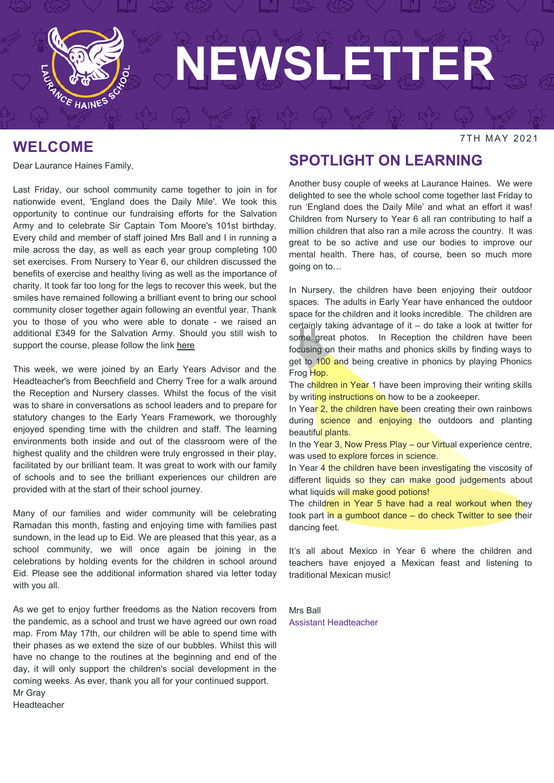

#### **WELCOME**

Dear Laurance Haines Family,

Last Friday, our school community came together to join in for nationwide event, 'England does the Daily Mile'. We took this opportunity to continue our fundraising efforts for the Salvation Army and to celebrate Sir Captain Tom Moore's 101st birthday. Every child and member of staff joined Mrs Ball and I in running a mile across the day, as well as each year group completing 100 set exercises. From Nursery to Year 6, our children discussed the benefits of exercise and healthy living as well as the importance of charity. It took far too long for the legs to recover this week, but the smiles have remained following a brilliant event to bring our school community closer together again following an eventful year. Thank you to those of you who were able to donate - we raised an additional £349 for the Salvation Army. Should you still wish to support the course, please follow the link [here](https://www.justgiving.com/fundraising/mrsballmrgray)

This week, we were joined by an Early Years Advisor and the Headteacher's from Beechfield and Cherry Tree for a walk around the Reception and Nursery classes. Whilst the focus of the visit was to share in conversations as school leaders and to prepare for statutory changes to the Early Years Framework, we thoroughly enjoyed spending time with the children and staff. The learning environments both inside and out of the classroom were of the highest quality and the children were truly engrossed in their play, facilitated by our brilliant team. It was great to work with our family of schools and to see the brilliant experiences our children are provided with at the start of their school journey.

Many of our families and wider community will be celebrating Ramadan this month, fasting and enjoying time with families past sundown, in the lead up to Eid. We are pleased that this year, as a school community, we will once again be joining in the celebrations by holding events for the children in school around Eid. Please see the additional information shared via letter today with you all.

As we get to enjoy further freedoms as the Nation recovers from the pandemic, as a school and trust we have agreed our own road map. From May 17th, our children will be able to spend time with their phases as we extend the size of our bubbles. Whilst this will have no change to the routines at the beginning and end of the day, it will only support the children's social development in the coming weeks. As ever, thank you all for your continued support. Mr Gray Headteacher

#### **SPOTLIGHT ON LEARNING**

Another busy couple of weeks at Laurance Haines. We were delighted to see the whole school come together last Friday to run 'England does the Daily Mile' and what an effort it was! Children from Nursery to Year 6 all ran contributing to half a million children that also ran a mile across the country. It was great to be so active and use our bodies to improve our mental health. There has, of course, been so much more going on to…

In Nursery, the children have been enjoying their outdoor spaces. The adults in Early Year have enhanced the outdoor space for the children and it looks incredible. The children are certainly taking advantage of it – do take a look at twitter for some great photos. In Reception the children have been focusing on their maths and phonics skills by finding ways to get to 100 and being creative in phonics by playing Phonics Frog Hop.

The children in Year 1 have been improving their writing skills by writing instructions on how to be a zookeeper.

In Year 2, the children have been creating their own rainbows during science and enjoying the outdoors and planting beautiful plants.

In the Year 3, Now Press Play – our Virtual experience centre, was used to explore forces in science.

In Year 4 the children have been investigating the viscosity of different liquids so they can make good judgements about what liquids will make good potions!

The children in Year 5 have had a real workout when they took part in a gumboot dance – do check Twitter to see their dancing feet.

It's all about Mexico in Year 6 where the children and teachers have enjoyed a Mexican feast and listening to traditional Mexican music!

Mrs Ball Assistant Headteacher